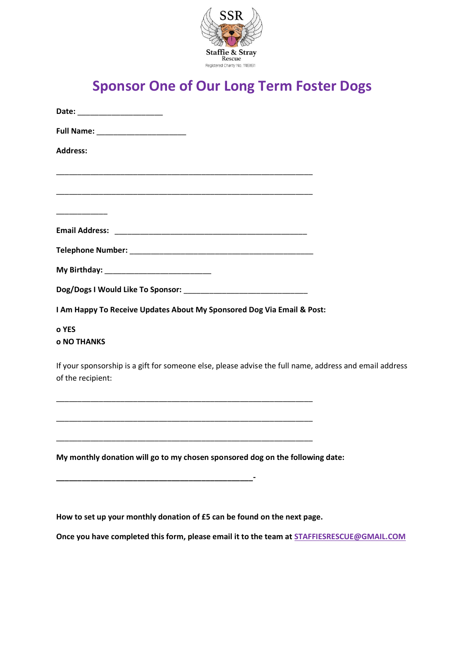

## **Sponsor One of Our Long Term Foster Dogs**

| Date: _____________________                                                                                                 |
|-----------------------------------------------------------------------------------------------------------------------------|
|                                                                                                                             |
| <b>Address:</b>                                                                                                             |
|                                                                                                                             |
|                                                                                                                             |
|                                                                                                                             |
|                                                                                                                             |
|                                                                                                                             |
|                                                                                                                             |
|                                                                                                                             |
| I Am Happy To Receive Updates About My Sponsored Dog Via Email & Post:                                                      |
| o YES<br><b>o NO THANKS</b>                                                                                                 |
| If your sponsorship is a gift for someone else, please advise the full name, address and email address<br>of the recipient: |
|                                                                                                                             |
| <u> 1980 - Jan James James James James James James James James James James James James James James James James J</u>        |
| My monthly donation will go to my chosen sponsored dog on the following date:                                               |
| <u> 1999 - Johann John Stone, markin amerikan basar dan berkembang di banyak di banyak di banyak di banyak di ban</u>       |

**How to set up your monthly donation of £5 can be found on the next page.**

**Once you have completed this form, please email it to the team at [STAFFIESRESCUE@GMAIL.COM](mailto:STAFFIESRESCUE@GMAIL.COM)**